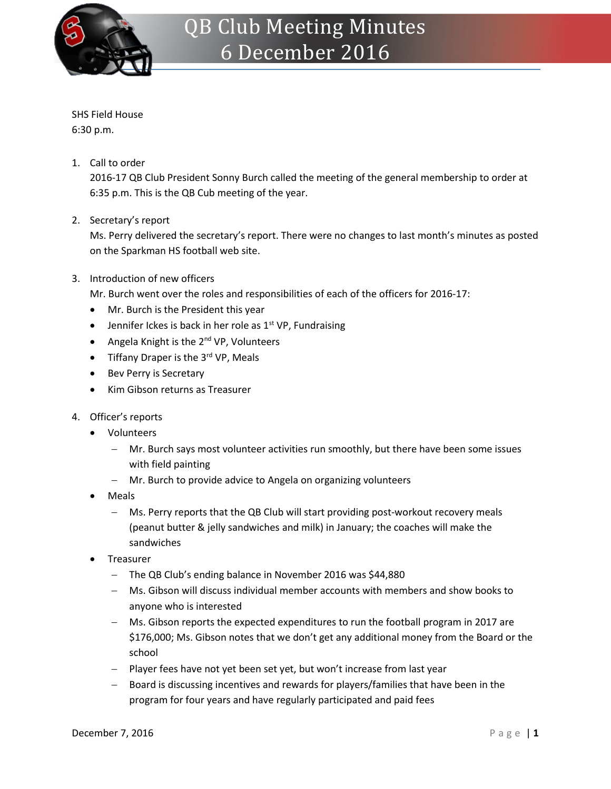

SHS Field House 6:30 p.m.

1. Call to order

2016-17 QB Club President Sonny Burch called the meeting of the general membership to order at 6:35 p.m. This is the QB Cub meeting of the year.

2. Secretary's report

Ms. Perry delivered the secretary's report. There were no changes to last month's minutes as posted on the Sparkman HS football web site.

3. Introduction of new officers

Mr. Burch went over the roles and responsibilities of each of the officers for 2016-17:

- Mr. Burch is the President this year
- **•** Jennifer Ickes is back in her role as  $1<sup>st</sup> VP$ , Fundraising
- Angela Knight is the 2<sup>nd</sup> VP, Volunteers
- $\bullet$  Tiffany Draper is the 3<sup>rd</sup> VP, Meals
- Bev Perry is Secretary
- Kim Gibson returns as Treasurer
- 4. Officer's reports
	- Volunteers
		- Mr. Burch says most volunteer activities run smoothly, but there have been some issues with field painting
		- Mr. Burch to provide advice to Angela on organizing volunteers
	- Meals
		- Ms. Perry reports that the QB Club will start providing post-workout recovery meals (peanut butter & jelly sandwiches and milk) in January; the coaches will make the sandwiches
	- Treasurer
		- The QB Club's ending balance in November 2016 was \$44,880
		- Ms. Gibson will discuss individual member accounts with members and show books to anyone who is interested
		- Ms. Gibson reports the expected expenditures to run the football program in 2017 are \$176,000; Ms. Gibson notes that we don't get any additional money from the Board or the school
		- Player fees have not yet been set yet, but won't increase from last year
		- Board is discussing incentives and rewards for players/families that have been in the program for four years and have regularly participated and paid fees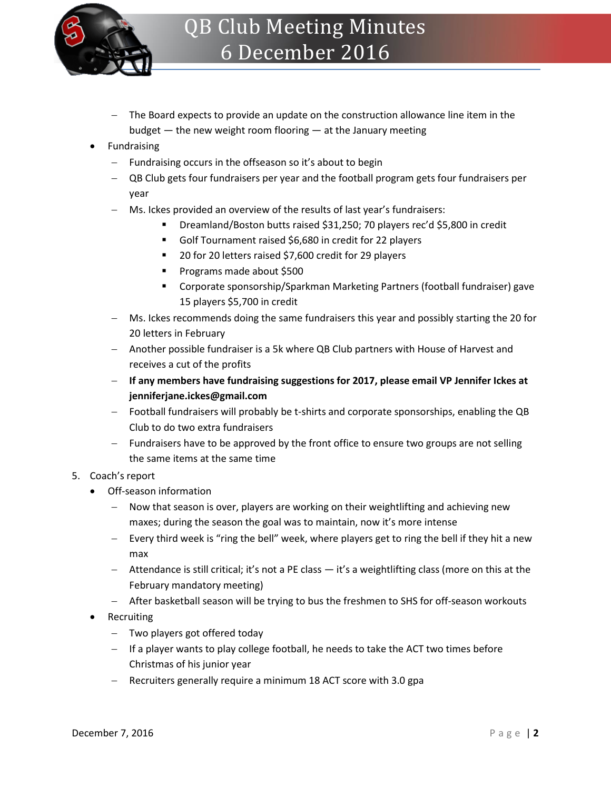

- The Board expects to provide an update on the construction allowance line item in the budget — the new weight room flooring — at the January meeting
- Fundraising
	- Fundraising occurs in the offseason so it's about to begin
	- QB Club gets four fundraisers per year and the football program gets four fundraisers per year
	- Ms. Ickes provided an overview of the results of last year's fundraisers:
		- Dreamland/Boston butts raised \$31,250; 70 players rec'd \$5,800 in credit
		- Golf Tournament raised \$6,680 in credit for 22 players
		- 20 for 20 letters raised \$7,600 credit for 29 players
		- **Programs made about \$500**
		- Corporate sponsorship/Sparkman Marketing Partners (football fundraiser) gave 15 players \$5,700 in credit
	- Ms. Ickes recommends doing the same fundraisers this year and possibly starting the 20 for 20 letters in February
	- Another possible fundraiser is a 5k where QB Club partners with House of Harvest and receives a cut of the profits
	- **If any members have fundraising suggestions for 2017, please email VP Jennifer Ickes at jenniferjane.ickes@gmail.com**
	- Football fundraisers will probably be t-shirts and corporate sponsorships, enabling the QB Club to do two extra fundraisers
	- Fundraisers have to be approved by the front office to ensure two groups are not selling the same items at the same time

## 5. Coach's report

- Off-season information
	- Now that season is over, players are working on their weightlifting and achieving new maxes; during the season the goal was to maintain, now it's more intense
	- Every third week is "ring the bell" week, where players get to ring the bell if they hit a new max
	- Attendance is still critical; it's not a PE class it's a weightlifting class (more on this at the February mandatory meeting)
	- After basketball season will be trying to bus the freshmen to SHS for off-season workouts
- Recruiting
	- Two players got offered today
	- $-$  If a player wants to play college football, he needs to take the ACT two times before Christmas of his junior year
	- Recruiters generally require a minimum 18 ACT score with 3.0 gpa